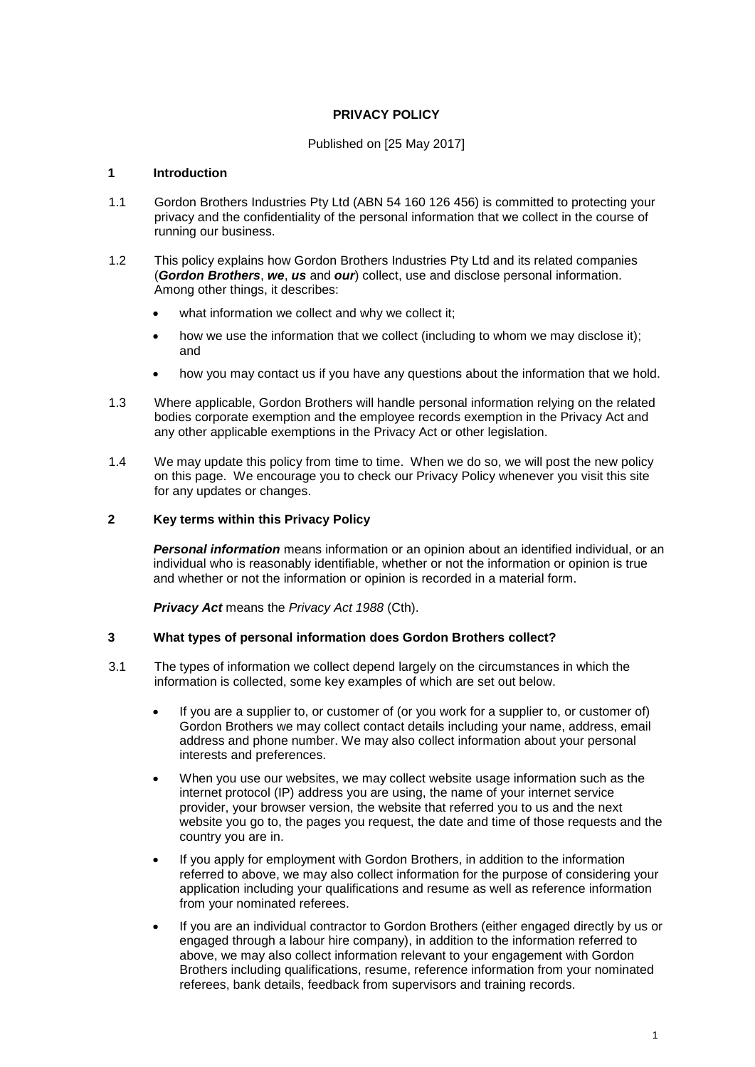# **PRIVACY POLICY**

# Published on [25 May 2017]

# **1 Introduction**

- 1.1 Gordon Brothers Industries Pty Ltd (ABN 54 160 126 456) is committed to protecting your privacy and the confidentiality of the personal information that we collect in the course of running our business.
- 1.2 This policy explains how Gordon Brothers Industries Pty Ltd and its related companies (*Gordon Brothers*, *we*, *us* and *our*) collect, use and disclose personal information. Among other things, it describes:
	- what information we collect and why we collect it;
	- how we use the information that we collect (including to whom we may disclose it); and
	- how you may contact us if you have any questions about the information that we hold.
- 1.3 Where applicable, Gordon Brothers will handle personal information relying on the related bodies corporate exemption and the employee records exemption in the Privacy Act and any other applicable exemptions in the Privacy Act or other legislation.
- 1.4 We may update this policy from time to time. When we do so, we will post the new policy on this page. We encourage you to check our Privacy Policy whenever you visit this site for any updates or changes.

# **2 Key terms within this Privacy Policy**

*Personal information* means information or an opinion about an identified individual, or an individual who is reasonably identifiable, whether or not the information or opinion is true and whether or not the information or opinion is recorded in a material form.

*Privacy Act* means the *Privacy Act 1988* (Cth).

#### **3 What types of personal information does Gordon Brothers collect?**

- 3.1 The types of information we collect depend largely on the circumstances in which the information is collected, some key examples of which are set out below.
	- If you are a supplier to, or customer of (or you work for a supplier to, or customer of) Gordon Brothers we may collect contact details including your name, address, email address and phone number. We may also collect information about your personal interests and preferences.
	- When you use our websites, we may collect website usage information such as the internet protocol (IP) address you are using, the name of your internet service provider, your browser version, the website that referred you to us and the next website you go to, the pages you request, the date and time of those requests and the country you are in.
	- If you apply for employment with Gordon Brothers, in addition to the information referred to above, we may also collect information for the purpose of considering your application including your qualifications and resume as well as reference information from your nominated referees.
	- If you are an individual contractor to Gordon Brothers (either engaged directly by us or engaged through a labour hire company), in addition to the information referred to above, we may also collect information relevant to your engagement with Gordon Brothers including qualifications, resume, reference information from your nominated referees, bank details, feedback from supervisors and training records.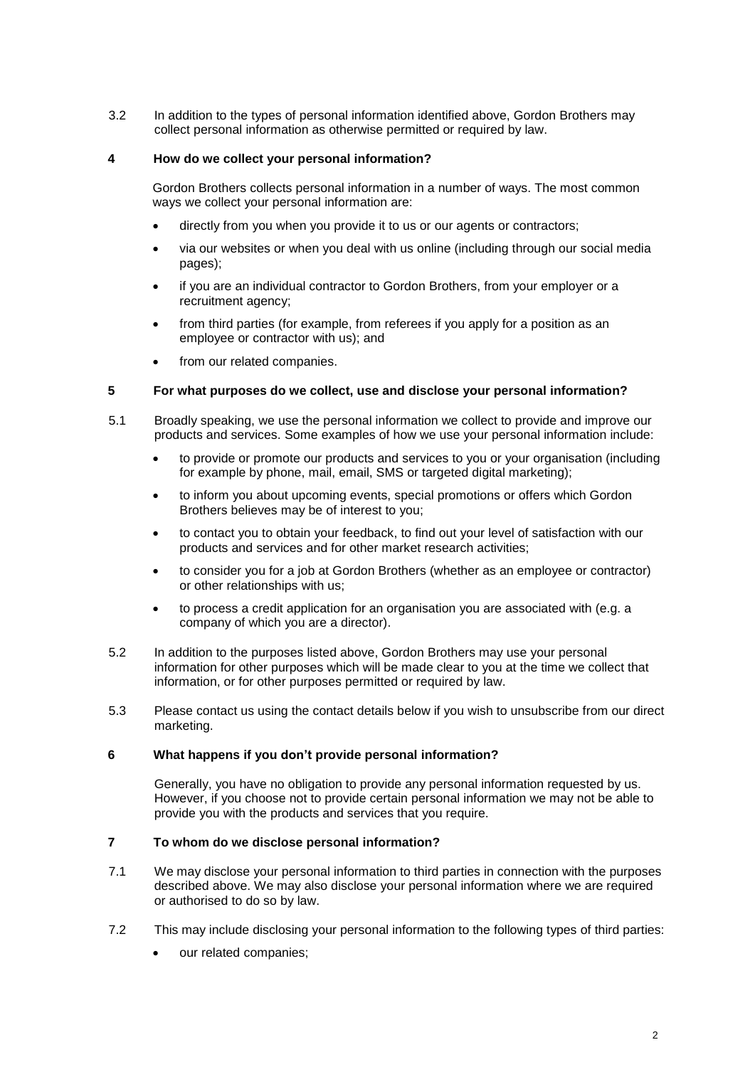3.2 In addition to the types of personal information identified above, Gordon Brothers may collect personal information as otherwise permitted or required by law.

# **4 How do we collect your personal information?**

Gordon Brothers collects personal information in a number of ways. The most common ways we collect your personal information are:

- directly from you when you provide it to us or our agents or contractors;
- via our websites or when you deal with us online (including through our social media pages);
- if you are an individual contractor to Gordon Brothers, from your employer or a recruitment agency;
- from third parties (for example, from referees if you apply for a position as an employee or contractor with us); and
- from our related companies.

## **5 For what purposes do we collect, use and disclose your personal information?**

- 5.1 Broadly speaking, we use the personal information we collect to provide and improve our products and services. Some examples of how we use your personal information include:
	- to provide or promote our products and services to you or your organisation (including for example by phone, mail, email, SMS or targeted digital marketing);
	- to inform you about upcoming events, special promotions or offers which Gordon Brothers believes may be of interest to you;
	- to contact you to obtain your feedback, to find out your level of satisfaction with our products and services and for other market research activities;
	- to consider you for a job at Gordon Brothers (whether as an employee or contractor) or other relationships with us;
	- to process a credit application for an organisation you are associated with (e.g. a company of which you are a director).
- 5.2 In addition to the purposes listed above, Gordon Brothers may use your personal information for other purposes which will be made clear to you at the time we collect that information, or for other purposes permitted or required by law.
- 5.3 Please contact us using the contact details below if you wish to unsubscribe from our direct marketing.

### **6 What happens if you don't provide personal information?**

Generally, you have no obligation to provide any personal information requested by us. However, if you choose not to provide certain personal information we may not be able to provide you with the products and services that you require.

### **7 To whom do we disclose personal information?**

- 7.1 We may disclose your personal information to third parties in connection with the purposes described above. We may also disclose your personal information where we are required or authorised to do so by law.
- 7.2 This may include disclosing your personal information to the following types of third parties:
	- our related companies;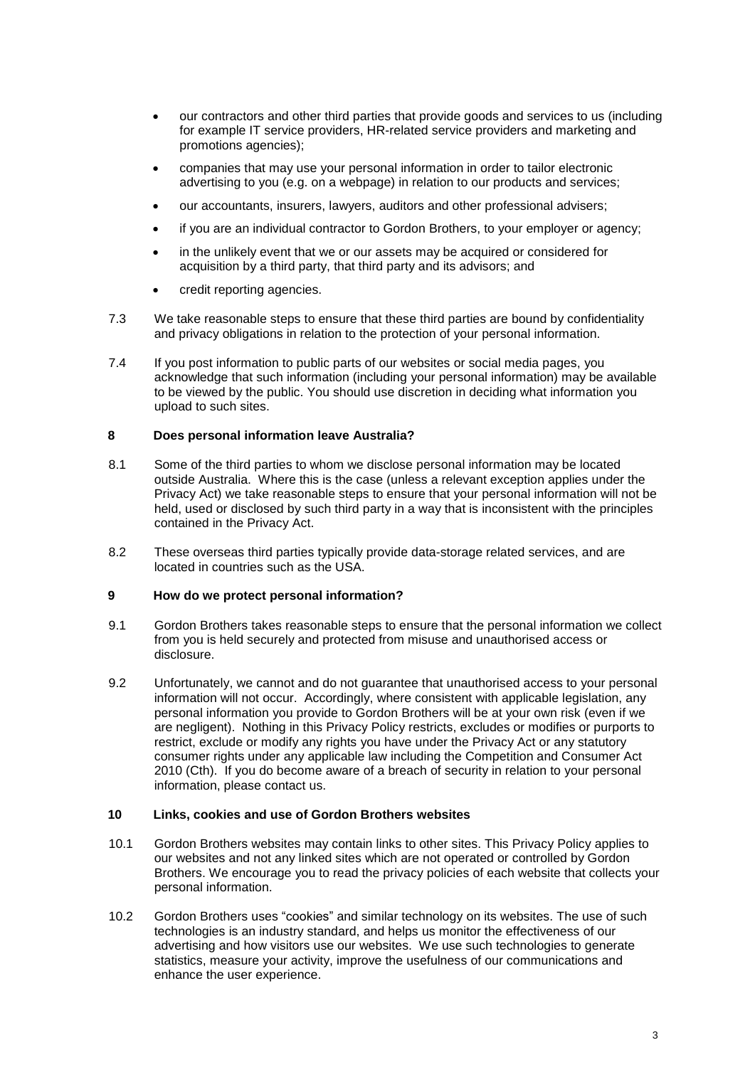- our contractors and other third parties that provide goods and services to us (including for example IT service providers, HR-related service providers and marketing and promotions agencies);
- companies that may use your personal information in order to tailor electronic advertising to you (e.g. on a webpage) in relation to our products and services;
- our accountants, insurers, lawyers, auditors and other professional advisers;
- if you are an individual contractor to Gordon Brothers, to your employer or agency;
- in the unlikely event that we or our assets may be acquired or considered for acquisition by a third party, that third party and its advisors; and
- credit reporting agencies.
- 7.3 We take reasonable steps to ensure that these third parties are bound by confidentiality and privacy obligations in relation to the protection of your personal information.
- 7.4 If you post information to public parts of our websites or social media pages, you acknowledge that such information (including your personal information) may be available to be viewed by the public. You should use discretion in deciding what information you upload to such sites.

## **8 Does personal information leave Australia?**

- 8.1 Some of the third parties to whom we disclose personal information may be located outside Australia. Where this is the case (unless a relevant exception applies under the Privacy Act) we take reasonable steps to ensure that your personal information will not be held, used or disclosed by such third party in a way that is inconsistent with the principles contained in the Privacy Act.
- 8.2 These overseas third parties typically provide data-storage related services, and are located in countries such as the USA.

## **9 How do we protect personal information?**

- 9.1 Gordon Brothers takes reasonable steps to ensure that the personal information we collect from you is held securely and protected from misuse and unauthorised access or disclosure.
- 9.2 Unfortunately, we cannot and do not guarantee that unauthorised access to your personal information will not occur. Accordingly, where consistent with applicable legislation, any personal information you provide to Gordon Brothers will be at your own risk (even if we are negligent). Nothing in this Privacy Policy restricts, excludes or modifies or purports to restrict, exclude or modify any rights you have under the Privacy Act or any statutory consumer rights under any applicable law including the Competition and Consumer Act 2010 (Cth). If you do become aware of a breach of security in relation to your personal information, please contact us.

#### **10 Links, cookies and use of Gordon Brothers websites**

- 10.1 Gordon Brothers websites may contain links to other sites. This Privacy Policy applies to our websites and not any linked sites which are not operated or controlled by Gordon Brothers. We encourage you to read the privacy policies of each website that collects your personal information.
- 10.2 Gordon Brothers uses "cookies" and similar technology on its websites. The use of such technologies is an industry standard, and helps us monitor the effectiveness of our advertising and how visitors use our websites. We use such technologies to generate statistics, measure your activity, improve the usefulness of our communications and enhance the user experience.